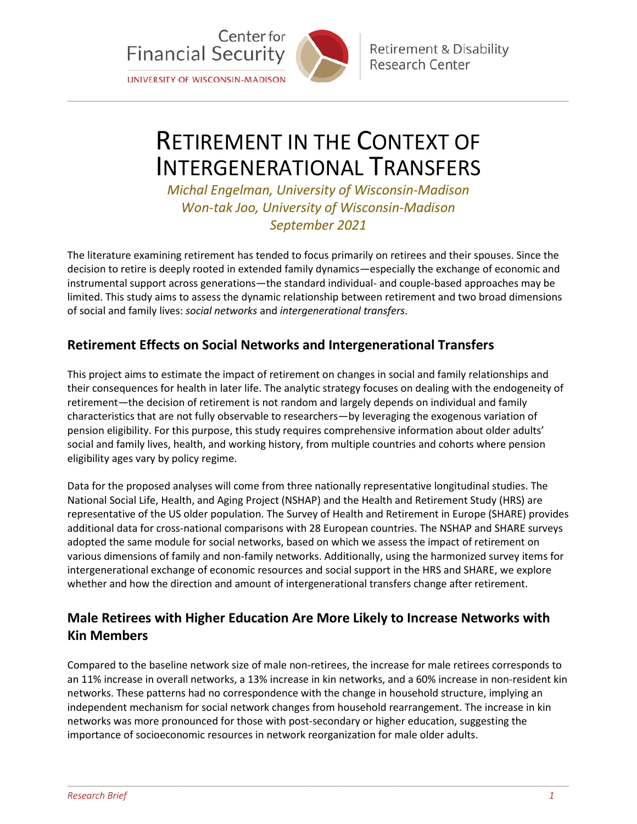

**Retirement & Disability** Research Center

# RETIREMENT IN THE CONTEXT OF INTERGENERATIONAL TRANSFERS

\_\_\_\_\_\_\_\_\_\_\_\_\_\_\_\_\_\_\_\_\_\_\_\_\_\_\_\_\_\_\_\_\_\_\_\_\_\_\_\_\_\_\_\_\_\_\_\_\_\_\_\_\_\_\_\_\_\_\_\_\_\_\_\_\_\_\_\_\_\_\_\_\_\_\_\_\_\_\_\_\_\_\_\_\_\_\_\_\_\_\_\_\_\_\_\_\_\_\_\_\_\_\_\_\_\_\_\_\_\_\_\_\_\_\_\_\_\_\_\_\_

*Michal Engelman, University of Wisconsin-Madison Won-tak Joo, University of Wisconsin-Madison September 2021*

The literature examining retirement has tended to focus primarily on retirees and their spouses. Since the decision to retire is deeply rooted in extended family dynamics—especially the exchange of economic and instrumental support across generations—the standard individual- and couple-based approaches may be limited. This study aims to assess the dynamic relationship between retirement and two broad dimensions of social and family lives: *social networks* and *intergenerational transfers*.

#### **Retirement Effects on Social Networks and Intergenerational Transfers**

This project aims to estimate the impact of retirement on changes in social and family relationships and their consequences for health in later life. The analytic strategy focuses on dealing with the endogeneity of retirement—the decision of retirement is not random and largely depends on individual and family characteristics that are not fully observable to researchers—by leveraging the exogenous variation of pension eligibility. For this purpose, this study requires comprehensive information about older adults' social and family lives, health, and working history, from multiple countries and cohorts where pension eligibility ages vary by policy regime.

Data for the proposed analyses will come from three nationally representative longitudinal studies. The National Social Life, Health, and Aging Project (NSHAP) and the Health and Retirement Study (HRS) are representative of the US older population. The Survey of Health and Retirement in Europe (SHARE) provides additional data for cross-national comparisons with 28 European countries. The NSHAP and SHARE surveys adopted the same module for social networks, based on which we assess the impact of retirement on various dimensions of family and non-family networks. Additionally, using the harmonized survey items for intergenerational exchange of economic resources and social support in the HRS and SHARE, we explore whether and how the direction and amount of intergenerational transfers change after retirement.

## **Male Retirees with Higher Education Are More Likely to Increase Networks with Kin Members**

Compared to the baseline network size of male non-retirees, the increase for male retirees corresponds to an 11% increase in overall networks, a 13% increase in kin networks, and a 60% increase in non-resident kin networks. These patterns had no correspondence with the change in household structure, implying an independent mechanism for social network changes from household rearrangement. The increase in kin networks was more pronounced for those with post-secondary or higher education, suggesting the importance of socioeconomic resources in network reorganization for male older adults.

\_\_\_\_\_\_\_\_\_\_\_\_\_\_\_\_\_\_\_\_\_\_\_\_\_\_\_\_\_\_\_\_\_\_\_\_\_\_\_\_\_\_\_\_\_\_\_\_\_\_\_\_\_\_\_\_\_\_\_\_\_\_\_\_\_\_\_\_\_\_\_\_\_\_\_\_\_\_\_\_\_\_\_\_\_\_\_\_\_\_\_\_\_\_\_\_\_\_\_\_\_\_\_\_\_\_\_\_\_\_\_\_\_\_\_\_\_\_\_\_\_